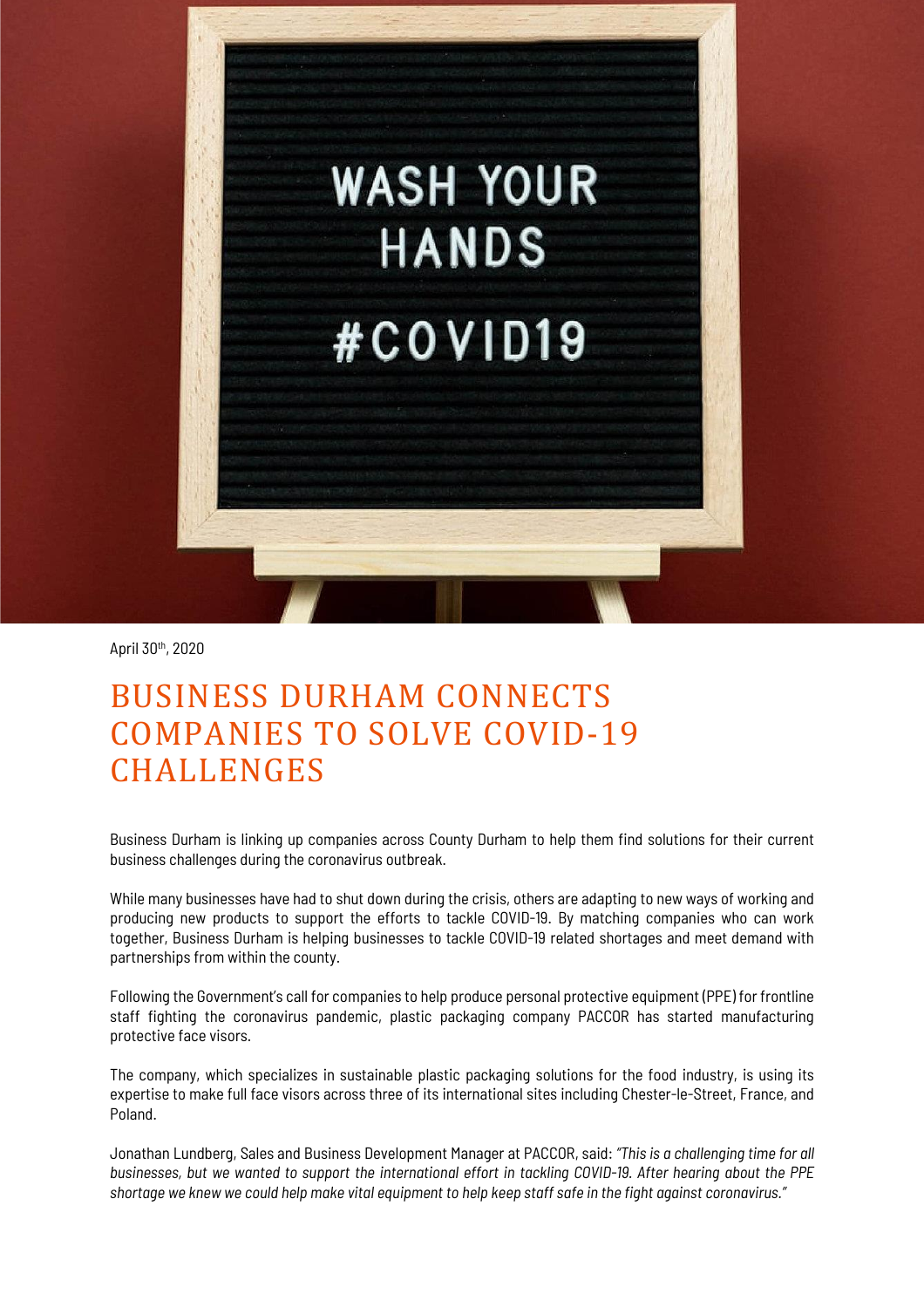

April 30th , 2020

## BUSINESS DURHAM CONNECTS COMPANIES TO SOLVE COVID-19 CHALLENGES

Business Durham is linking up companies across County Durham to help them find solutions for their current business challenges during the coronavirus outbreak.

While many businesses have had to shut down during the crisis, others are adapting to new ways of working and producing new products to support the efforts to tackle COVID-19. By matching companies who can work together, Business Durham is helping businesses to tackle COVID-19 related shortages and meet demand with partnerships from within the county.

Following the Government's call for companies to help produce personal protective equipment (PPE) for frontline staff fighting the coronavirus pandemic, plastic packaging company PACCOR has started manufacturing protective face visors.

The company, which specializes in sustainable plastic packaging solutions for the food industry, is using its expertise to make full face visors across three of its international sites including Chester-le-Street, France, and Poland.

Jonathan Lundberg, Sales and Business Development Manager at PACCOR, said: *"This is a challenging time for all* businesses, but we wanted to support the international effort in tackling COVID-19. After hearing about the PPE shortage we knew we could help make vital equipment to help keep staff safe in the fight against coronavirus."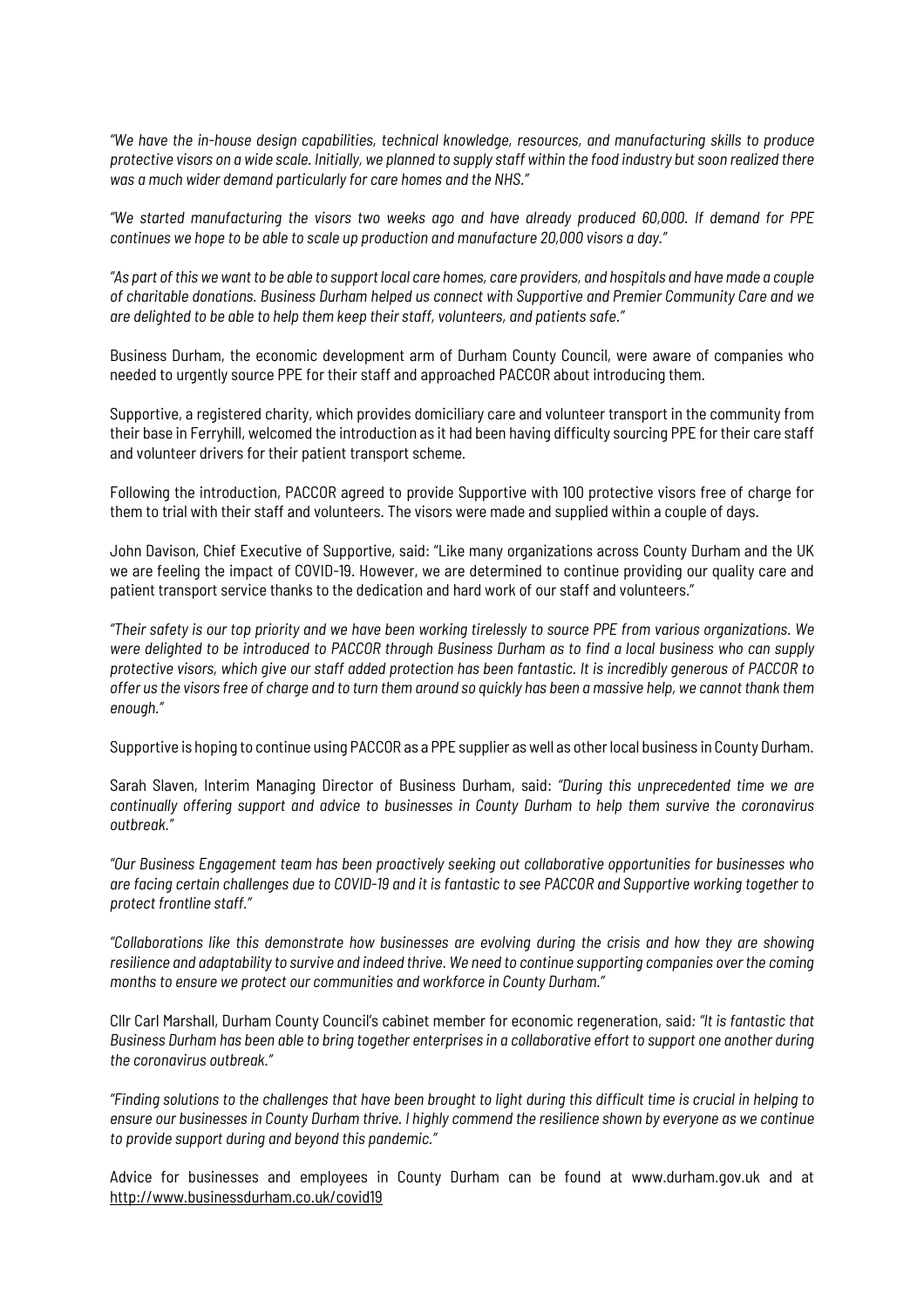*"We have the in-house design capabilities, technical knowledge, resources, and manufacturing skills to produce* protective visors on a wide scale. Initially, we planned to supply staff within the food industry but soon realized there *was a much wider demand particularly for care homes and the NHS."*

*"We started manufacturing the visors two weeks ago and have already produced 60,000. If demand for PPE continues we hope to be able to scale up production and manufacture 20,000 visors a day."*

"As part of this we want to be able to support local care homes, care providers, and hospitals and have made a couple *of charitable donations. Business Durham helped us connect with Supportive and Premier Community Care and we are delighted to be able to help them keep their staff, volunteers, and patients safe."*

Business Durham, the economic development arm of Durham County Council, were aware of companies who needed to urgently source PPE for their staff and approached PACCOR about introducing them.

Supportive, a registered charity, which provides domiciliary care and volunteer transport in the community from their base in Ferryhill, welcomed the introduction as it had been having difficulty sourcing PPE for their care staff and volunteer drivers for their patient transport scheme.

Following the introduction, PACCOR agreed to provide Supportive with 100 protective visors free of charge for them to trial with their staff and volunteers. The visors were made and supplied within a couple of days.

John Davison, Chief Executive of Supportive, said: "Like many organizations across County Durham and the UK we are feeling the impact of COVID-19. However, we are determined to continue providing our quality care and patient transport service thanks to the dedication and hard work of our staff and volunteers."

"Their safety is our top priority and we have been working tirelessly to source PPE from various organizations. We were delighted to be introduced to PACCOR through Business Durham as to find a local business who can supply protective visors, which give our staff added protection has been fantastic. It is incredibly generous of PACCOR to offer us the visors free of charge and to turn them around so quickly has been a massive help, we cannot thank them *enough."*

Supportive is hoping to continue using PACCOR as a PPE supplier aswell as otherlocal business in County Durham.

Sarah Slaven, Interim Managing Director of Business Durham, said: *"During this unprecedented time we are continually offering support and advice to businesses in County Durham to help them survive the coronavirus outbreak."*

*"Our Business Engagement team has been proactively seeking out collaborative opportunities for businesses who* are facing certain challenges due to COVID-19 and it is fantastic to see PACCOR and Supportive working together to *protect frontline staff."*

*"Collaborations like this demonstrate how businesses are evolving during the crisis and how they are showing* resilience and adaptability to survive and indeed thrive. We need to continue supporting companies over the coming *months to ensure we protect our communities and workforce in County Durham."*

Cllr Carl Marshall, Durham County Council's cabinet member for economic regeneration, said*: "It is fantastic that* Business Durham has been able to bring together enterprises in a collaborative effort to support one another during *the coronavirus outbreak."*

"Finding solutions to the challenges that have been brought to light during this difficult time is crucial in helping to ensure our businesses in County Durham thrive. I highly commend the resilience shown by everyone as we continue *to provide support during and beyond this pandemic."*

Advice for businesses and employees in County Durham can be found at www.durham.gov.uk and at <http://www.businessdurham.co.uk/covid19>